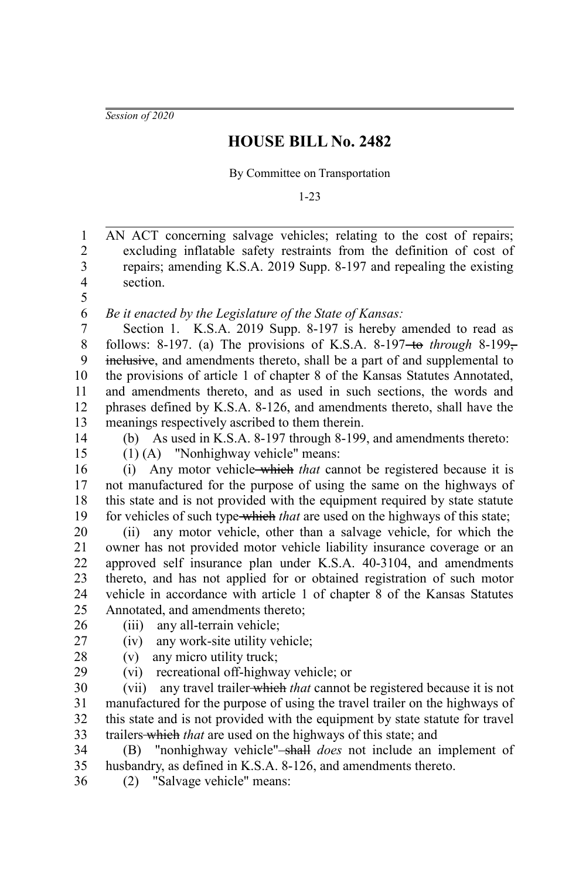*Session of 2020*

## **HOUSE BILL No. 2482**

By Committee on Transportation

1-23

AN ACT concerning salvage vehicles; relating to the cost of repairs; excluding inflatable safety restraints from the definition of cost of repairs; amending K.S.A. 2019 Supp. 8-197 and repealing the existing section. 1 2 3 4 5

*Be it enacted by the Legislature of the State of Kansas:* 6

Section 1. K.S.A. 2019 Supp. 8-197 is hereby amended to read as follows: 8-197. (a) The provisions of K.S.A. 8-197<del>-to</del> *through* 8-199– inclusive, and amendments thereto, shall be a part of and supplemental to the provisions of article 1 of chapter 8 of the Kansas Statutes Annotated, and amendments thereto, and as used in such sections, the words and phrases defined by K.S.A. 8-126, and amendments thereto, shall have the meanings respectively ascribed to them therein. 7 8 9 10 11 12 13

14 15

27

29

(b) As used in K.S.A. 8-197 through 8-199, and amendments thereto:

(1) (A) "Nonhighway vehicle" means:

(i) Any motor vehicle which *that* cannot be registered because it is not manufactured for the purpose of using the same on the highways of this state and is not provided with the equipment required by state statute for vehicles of such type-which *that* are used on the highways of this state; 16 17 18 19

(ii) any motor vehicle, other than a salvage vehicle, for which the owner has not provided motor vehicle liability insurance coverage or an approved self insurance plan under K.S.A. 40-3104, and amendments thereto, and has not applied for or obtained registration of such motor vehicle in accordance with article 1 of chapter 8 of the Kansas Statutes Annotated, and amendments thereto; 20 21 22 23 24 25

- (iii) any all-terrain vehicle; 26
	- (iv) any work-site utility vehicle;
- (v) any micro utility truck; 28
	- (vi) recreational off-highway vehicle; or

(vii) any travel trailer which *that* cannot be registered because it is not manufactured for the purpose of using the travel trailer on the highways of this state and is not provided with the equipment by state statute for travel trailers which *that* are used on the highways of this state; and 30 31 32 33

(B) "nonhighway vehicle" shall *does* not include an implement of husbandry, as defined in K.S.A. 8-126, and amendments thereto. 34 35

(2) "Salvage vehicle" means: 36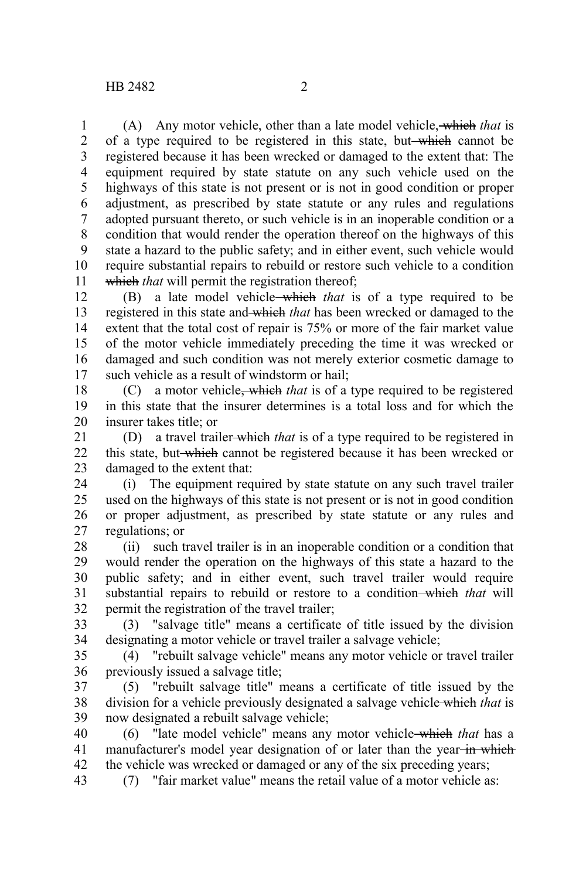(A) Any motor vehicle, other than a late model vehicle, which *that* is of a type required to be registered in this state, but which cannot be registered because it has been wrecked or damaged to the extent that: The equipment required by state statute on any such vehicle used on the highways of this state is not present or is not in good condition or proper adjustment, as prescribed by state statute or any rules and regulations adopted pursuant thereto, or such vehicle is in an inoperable condition or a condition that would render the operation thereof on the highways of this state a hazard to the public safety; and in either event, such vehicle would require substantial repairs to rebuild or restore such vehicle to a condition which *that* will permit the registration thereof; 1 2 3 4 5 6 7 8 9 10 11

(B) a late model vehicle which *that* is of a type required to be registered in this state and which *that* has been wrecked or damaged to the extent that the total cost of repair is 75% or more of the fair market value of the motor vehicle immediately preceding the time it was wrecked or damaged and such condition was not merely exterior cosmetic damage to such vehicle as a result of windstorm or hail; 12 13 14 15 16 17

(C) a motor vehicle, which *that* is of a type required to be registered in this state that the insurer determines is a total loss and for which the insurer takes title; or 18 19 20

(D) a travel trailer which *that* is of a type required to be registered in this state, but-which cannot be registered because it has been wrecked or damaged to the extent that: 21 22 23

(i) The equipment required by state statute on any such travel trailer used on the highways of this state is not present or is not in good condition or proper adjustment, as prescribed by state statute or any rules and regulations; or 24 25 26 27

(ii) such travel trailer is in an inoperable condition or a condition that would render the operation on the highways of this state a hazard to the public safety; and in either event, such travel trailer would require substantial repairs to rebuild or restore to a condition-which *that* will permit the registration of the travel trailer; 28 29 30 31 32

(3) "salvage title" means a certificate of title issued by the division designating a motor vehicle or travel trailer a salvage vehicle; 33 34

(4) "rebuilt salvage vehicle" means any motor vehicle or travel trailer previously issued a salvage title; 35 36

(5) "rebuilt salvage title" means a certificate of title issued by the division for a vehicle previously designated a salvage vehicle which *that* is now designated a rebuilt salvage vehicle; 37 38 39

(6) "late model vehicle" means any motor vehicle which *that* has a manufacturer's model year designation of or later than the year-in which the vehicle was wrecked or damaged or any of the six preceding years; 40 41 42

(7) "fair market value" means the retail value of a motor vehicle as: 43